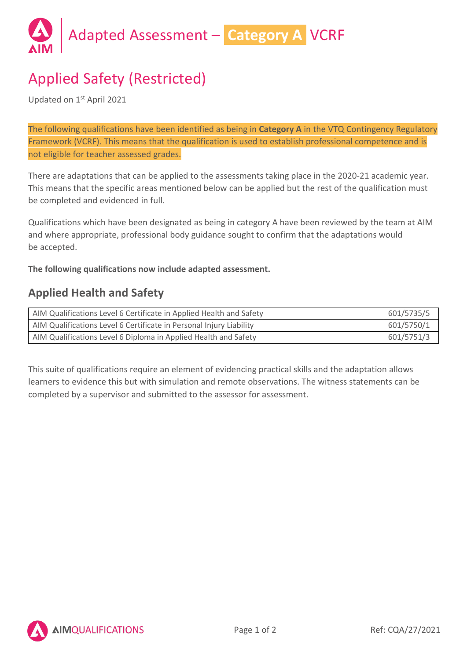

# Applied Safety (Restricted)

Updated on 1st April 2021

The following qualifications have been identified as being in **Category A** in the VTQ Contingency Regulatory Framework (VCRF). This means that the qualification is used to establish professional competence and is not eligible for teacher assessed grades.

There are adaptations that can be applied to the assessments taking place in the 2020-21 academic year. This means that the specific areas mentioned below can be applied but the rest of the qualification must be completed and evidenced in full.

Qualifications which have been designated as being in category A have been reviewed by the team at AIM and where appropriate, professional body guidance sought to confirm that the adaptations would be accepted.

**The following qualifications now include adapted assessment.**

### **Applied Health and Safety**

| AIM Qualifications Level 6 Certificate in Applied Health and Safety | 601/5735/5 |
|---------------------------------------------------------------------|------------|
| AIM Qualifications Level 6 Certificate in Personal Injury Liability | 601/5750/1 |
| AIM Qualifications Level 6 Diploma in Applied Health and Safety     | 601/5751/3 |

This suite of qualifications require an element of evidencing practical skills and the adaptation allows learners to evidence this but with simulation and remote observations. The witness statements can be completed by a supervisor and submitted to the assessor for assessment.